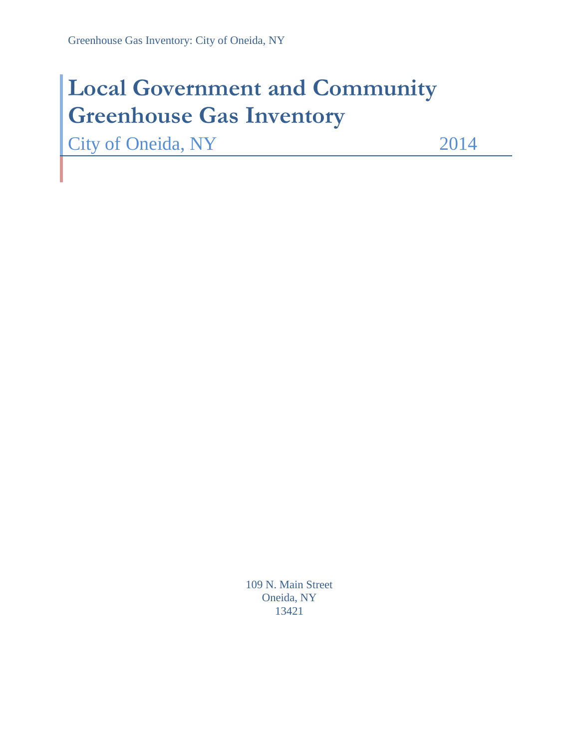# **Local Government and Community Greenhouse Gas Inventory**

City of Oneida, NY 2014

109 N. Main Street Oneida, NY 13421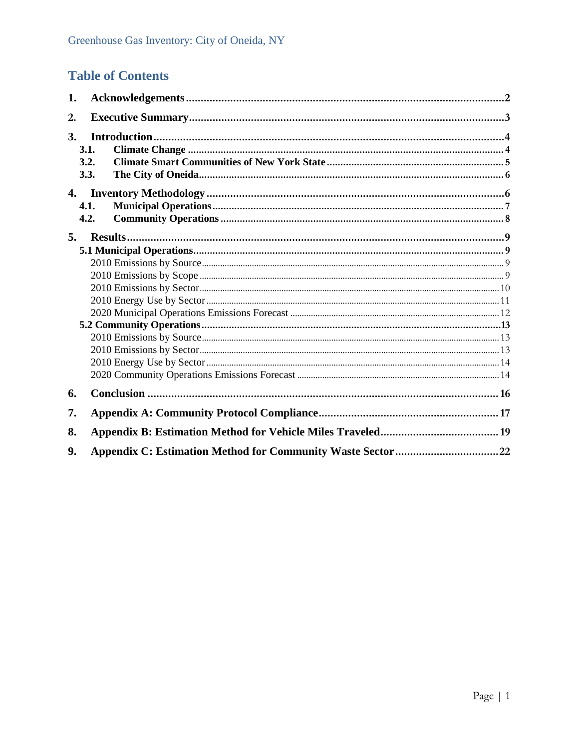## **Table of Contents**

| 1.        |      |  |
|-----------|------|--|
| 2.        |      |  |
| <b>3.</b> |      |  |
|           | 3.1. |  |
|           | 3.2. |  |
|           | 3.3. |  |
|           |      |  |
|           | 4.1. |  |
|           | 4.2. |  |
| 5.        |      |  |
|           |      |  |
|           |      |  |
|           |      |  |
|           |      |  |
|           |      |  |
|           |      |  |
|           |      |  |
|           |      |  |
|           |      |  |
|           |      |  |
|           |      |  |
| 6.        |      |  |
| 7.        |      |  |
| 8.        |      |  |
| 9.        |      |  |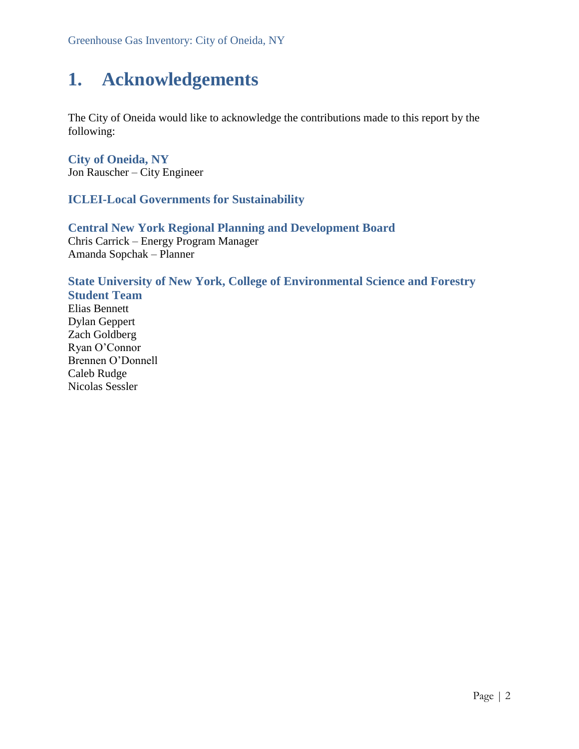## <span id="page-2-0"></span>**1. Acknowledgements**

The City of Oneida would like to acknowledge the contributions made to this report by the following:

**City of Oneida, NY** Jon Rauscher – City Engineer

#### **ICLEI-Local Governments for Sustainability**

#### **Central New York Regional Planning and Development Board** Chris Carrick – Energy Program Manager Amanda Sopchak – Planner

### **State University of New York, College of Environmental Science and Forestry**

**Student Team** Elias Bennett Dylan Geppert Zach Goldberg Ryan O'Connor Brennen O'Donnell Caleb Rudge Nicolas Sessler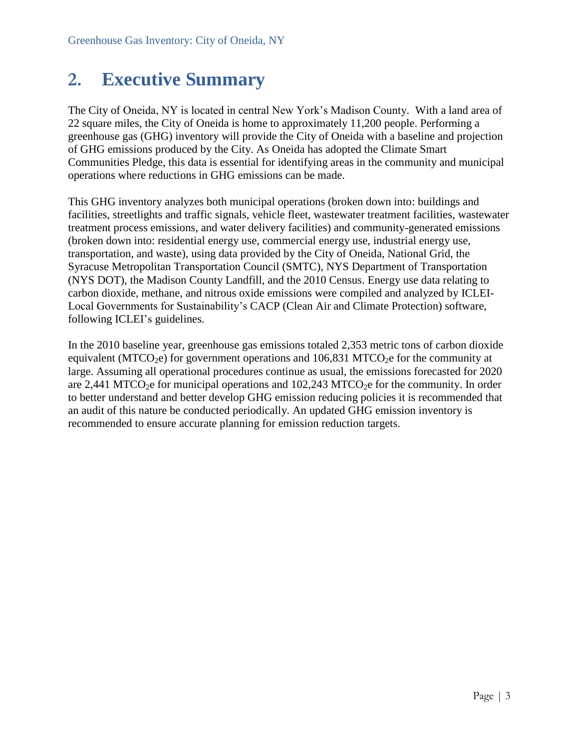## <span id="page-3-0"></span>**2. Executive Summary**

The City of Oneida, NY is located in central New York's Madison County. With a land area of 22 square miles, the City of Oneida is home to approximately 11,200 people. Performing a greenhouse gas (GHG) inventory will provide the City of Oneida with a baseline and projection of GHG emissions produced by the City. As Oneida has adopted the Climate Smart Communities Pledge, this data is essential for identifying areas in the community and municipal operations where reductions in GHG emissions can be made.

This GHG inventory analyzes both municipal operations (broken down into: buildings and facilities, streetlights and traffic signals, vehicle fleet, wastewater treatment facilities, wastewater treatment process emissions, and water delivery facilities) and community-generated emissions (broken down into: residential energy use, commercial energy use, industrial energy use, transportation, and waste), using data provided by the City of Oneida, National Grid, the Syracuse Metropolitan Transportation Council (SMTC), NYS Department of Transportation (NYS DOT), the Madison County Landfill, and the 2010 Census. Energy use data relating to carbon dioxide, methane, and nitrous oxide emissions were compiled and analyzed by ICLEI-Local Governments for Sustainability's CACP (Clean Air and Climate Protection) software, following ICLEI's guidelines.

In the 2010 baseline year, greenhouse gas emissions totaled 2,353 metric tons of carbon dioxide equivalent (MTCO<sub>2</sub>e) for government operations and  $106,831$  MTCO<sub>2</sub>e for the community at large. Assuming all operational procedures continue as usual, the emissions forecasted for 2020 are 2,441 MTCO<sub>2</sub>e for municipal operations and  $102,243$  MTCO<sub>2</sub>e for the community. In order to better understand and better develop GHG emission reducing policies it is recommended that an audit of this nature be conducted periodically. An updated GHG emission inventory is recommended to ensure accurate planning for emission reduction targets.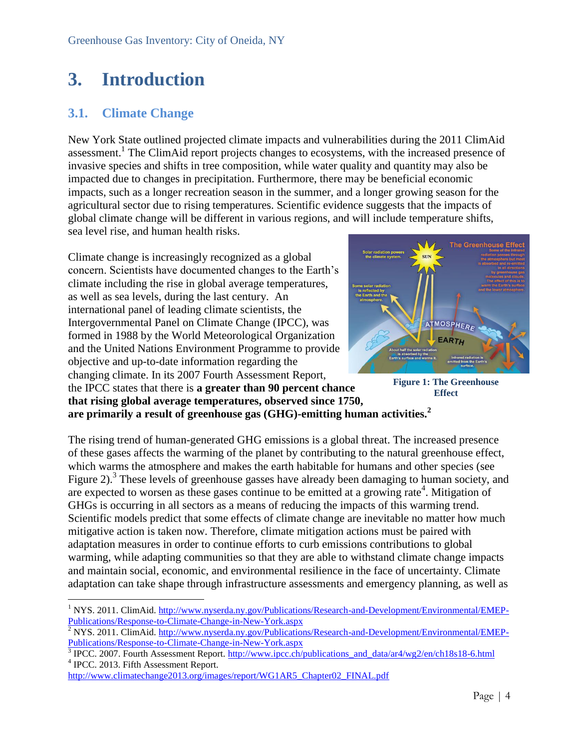## <span id="page-4-0"></span>**3. Introduction**

### <span id="page-4-1"></span>**3.1. Climate Change**

New York State outlined projected climate impacts and vulnerabilities during the 2011 ClimAid assessment.<sup>1</sup> The ClimAid report projects changes to ecosystems, with the increased presence of invasive species and shifts in tree composition, while water quality and quantity may also be impacted due to changes in precipitation. Furthermore, there may be beneficial economic impacts, such as a longer recreation season in the summer, and a longer growing season for the agricultural sector due to rising temperatures. Scientific evidence suggests that the impacts of global climate change will be different in various regions, and will include temperature shifts, sea level rise, and human health risks.

Climate change is increasingly recognized as a global concern. Scientists have documented changes to the Earth's climate including the rise in global average temperatures, as well as sea levels, during the last century. An international panel of leading climate scientists, the Intergovernmental Panel on Climate Change (IPCC), was formed in 1988 by the World Meteorological Organization and the United Nations Environment Programme to provide objective and up-to-date information regarding the changing climate. In its 2007 Fourth Assessment Report, the IPCC states that there is **a greater than 90 percent chance that rising global average temperatures, observed since 1750, are primarily a result of greenhouse gas (GHG)-emitting human activities.<sup>2</sup>**



**Figure 1: The Greenhouse Effect**

The rising trend of human-generated GHG emissions is a global threat. The increased presence of these gases affects the warming of the planet by contributing to the natural greenhouse effect, which warms the atmosphere and makes the earth habitable for humans and other species (see Figure 2).<sup>3</sup> These levels of greenhouse gasses have already been damaging to human society, and are expected to worsen as these gases continue to be emitted at a growing rate<sup>4</sup>. Mitigation of GHGs is occurring in all sectors as a means of reducing the impacts of this warming trend. Scientific models predict that some effects of climate change are inevitable no matter how much mitigative action is taken now. Therefore, climate mitigation actions must be paired with adaptation measures in order to continue efforts to curb emissions contributions to global warming, while adapting communities so that they are able to withstand climate change impacts and maintain social, economic, and environmental resilience in the face of uncertainty. Climate adaptation can take shape through infrastructure assessments and emergency planning, as well as

 $\overline{a}$ <sup>1</sup> NYS. 2011. ClimAid. [http://www.nyserda.ny.gov/Publications/Research-and-Development/Environmental/EMEP-](http://www.nyserda.ny.gov/Publications/Research-and-Development/Environmental/EMEP-Publications/Response-to-Climate-Change-in-New-York.aspx)[Publications/Response-to-Climate-Change-in-New-York.aspx](http://www.nyserda.ny.gov/Publications/Research-and-Development/Environmental/EMEP-Publications/Response-to-Climate-Change-in-New-York.aspx)

 $\frac{2}{2}$ NYS. 2011. ClimAid. [http://www.nyserda.ny.gov/Publications/Research-and-Development/Environmental/EMEP-](http://www.nyserda.ny.gov/Publications/Research-and-Development/Environmental/EMEP-Publications/Response-to-Climate-Change-in-New-York.aspx)[Publications/Response-to-Climate-Change-in-New-York.aspx](http://www.nyserda.ny.gov/Publications/Research-and-Development/Environmental/EMEP-Publications/Response-to-Climate-Change-in-New-York.aspx)

<sup>3</sup> IPCC. 2007. Fourth Assessment Report. [http://www.ipcc.ch/publications\\_and\\_data/ar4/wg2/en/ch18s18-6.html](http://www.ipcc.ch/publications_and_data/ar4/wg2/en/ch18s18-6.html) 4 IPCC. 2013. Fifth Assessment Report.

[http://www.climatechange2013.org/images/report/WG1AR5\\_Chapter02\\_FINAL.pdf](http://www.climatechange2013.org/images/report/WG1AR5_Chapter02_FINAL.pdf)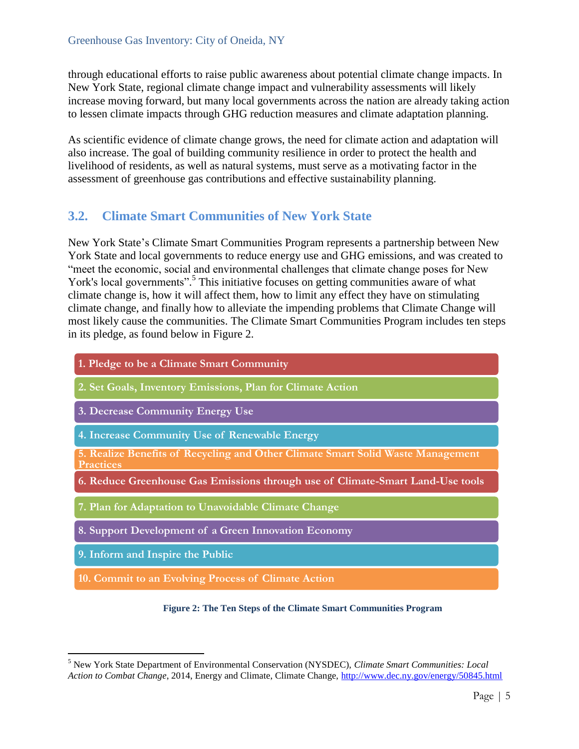through educational efforts to raise public awareness about potential climate change impacts. In New York State, regional climate change impact and vulnerability assessments will likely increase moving forward, but many local governments across the nation are already taking action to lessen climate impacts through GHG reduction measures and climate adaptation planning.

As scientific evidence of climate change grows, the need for climate action and adaptation will also increase. The goal of building community resilience in order to protect the health and livelihood of residents, as well as natural systems, must serve as a motivating factor in the assessment of greenhouse gas contributions and effective sustainability planning.

### <span id="page-5-0"></span>**3.2. Climate Smart Communities of New York State**

New York State's Climate Smart Communities Program represents a partnership between New York State and local governments to reduce energy use and GHG emissions, and was created to "meet the economic, social and environmental challenges that climate change poses for New York's local governments".<sup>5</sup> This initiative focuses on getting communities aware of what climate change is, how it will affect them, how to limit any effect they have on stimulating climate change, and finally how to alleviate the impending problems that Climate Change will most likely cause the communities. The Climate Smart Communities Program includes ten steps in its pledge, as found below in Figure 2.

| 1. Pledge to be a Climate Smart Community                                                           |
|-----------------------------------------------------------------------------------------------------|
| 2. Set Goals, Inventory Emissions, Plan for Climate Action                                          |
| 3. Decrease Community Energy Use                                                                    |
| 4. Increase Community Use of Renewable Energy                                                       |
| 5. Realize Benefits of Recycling and Other Climate Smart Solid Waste Management<br><b>Practices</b> |
| 6. Reduce Greenhouse Gas Emissions through use of Climate-Smart Land-Use tools                      |
| 7. Plan for Adaptation to Unavoidable Climate Change                                                |
| 8. Support Development of a Green Innovation Economy                                                |
| 9. Inform and Inspire the Public                                                                    |
| 10. Commit to an Evolving Process of Climate Action                                                 |

#### **Figure 2: The Ten Steps of the Climate Smart Communities Program**

 $\overline{a}$ 

<sup>5</sup> New York State Department of Environmental Conservation (NYSDEC), *Climate Smart Communities: Local Action to Combat Change*, 2014, Energy and Climate, Climate Change,<http://www.dec.ny.gov/energy/50845.html>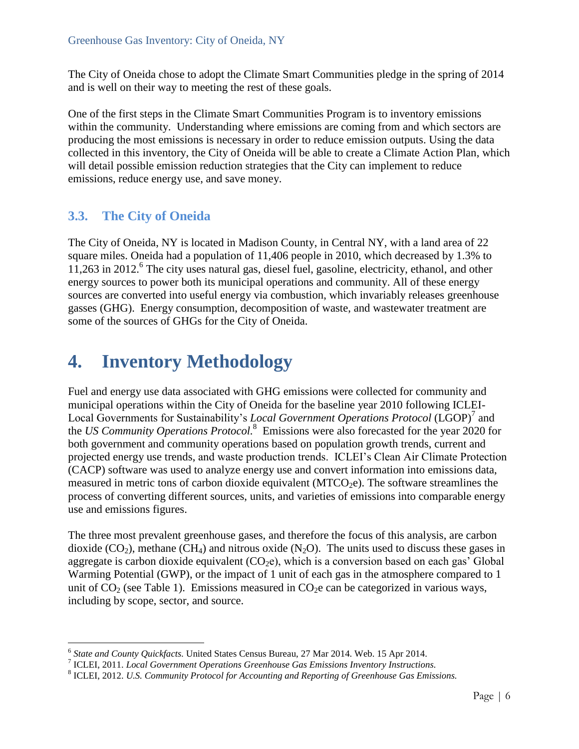The City of Oneida chose to adopt the Climate Smart Communities pledge in the spring of 2014 and is well on their way to meeting the rest of these goals.

One of the first steps in the Climate Smart Communities Program is to inventory emissions within the community. Understanding where emissions are coming from and which sectors are producing the most emissions is necessary in order to reduce emission outputs. Using the data collected in this inventory, the City of Oneida will be able to create a Climate Action Plan, which will detail possible emission reduction strategies that the City can implement to reduce emissions, reduce energy use, and save money.

### <span id="page-6-0"></span>**3.3. The City of Oneida**

The City of Oneida, NY is located in Madison County, in Central NY, with a land area of 22 square miles. Oneida had a population of 11,406 people in 2010, which decreased by 1.3% to 11,263 in 2012. 6 The city uses natural gas, diesel fuel, gasoline, electricity, ethanol, and other energy sources to power both its municipal operations and community. All of these energy sources are converted into useful energy via combustion, which invariably releases greenhouse gasses (GHG). Energy consumption, decomposition of waste, and wastewater treatment are some of the sources of GHGs for the City of Oneida.

## <span id="page-6-1"></span>**4. Inventory Methodology**

Fuel and energy use data associated with GHG emissions were collected for community and municipal operations within the City of Oneida for the baseline year 2010 following ICLEI-Local Governments for Sustainability's *Local Government Operations Protocol* (LGOP)<sup>7</sup> and the *US Community Operations Protocol.* 8 Emissions were also forecasted for the year 2020 for both government and community operations based on population growth trends, current and projected energy use trends, and waste production trends. ICLEI's Clean Air Climate Protection (CACP) software was used to analyze energy use and convert information into emissions data, measured in metric tons of carbon dioxide equivalent  $(MTCO<sub>2</sub>e)$ . The software streamlines the process of converting different sources, units, and varieties of emissions into comparable energy use and emissions figures.

The three most prevalent greenhouse gases, and therefore the focus of this analysis, are carbon dioxide (CO<sub>2</sub>), methane (CH<sub>4</sub>) and nitrous oxide (N<sub>2</sub>O). The units used to discuss these gases in aggregate is carbon dioxide equivalent  $(CO<sub>2</sub>e)$ , which is a conversion based on each gas' Global Warming Potential (GWP), or the impact of 1 unit of each gas in the atmosphere compared to 1 unit of  $CO<sub>2</sub>$  (see Table 1). Emissions measured in  $CO<sub>2</sub>e$  can be categorized in various ways, including by scope, sector, and source.

 6 *State and County Quickfacts.* United States Census Bureau, 27 Mar 2014. Web. 15 Apr 2014.

<sup>7</sup> ICLEI, 2011. *Local Government Operations Greenhouse Gas Emissions Inventory Instructions.*

<sup>8</sup> ICLEI, 2012. *U.S. Community Protocol for Accounting and Reporting of Greenhouse Gas Emissions.*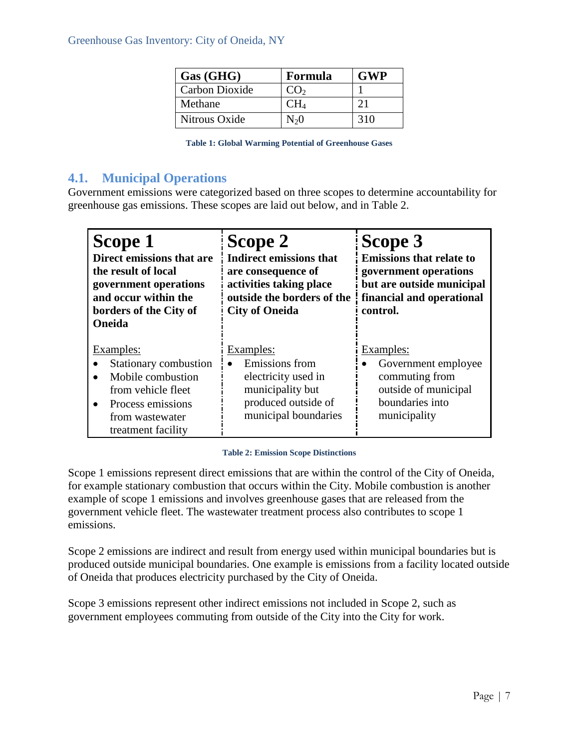| Gas (GHG)      | Formula         | <b>GWP</b> |
|----------------|-----------------|------------|
| Carbon Dioxide | CO <sub>2</sub> |            |
| Methane        |                 |            |
| Nitrous Oxide  | $\rm N_20$      | 310        |

| <b>Table 1: Global Warming Potential of Greenhouse Gases</b> |  |  |  |  |
|--------------------------------------------------------------|--|--|--|--|
|--------------------------------------------------------------|--|--|--|--|

### <span id="page-7-0"></span>**4.1. Municipal Operations**

Government emissions were categorized based on three scopes to determine accountability for greenhouse gas emissions. These scopes are laid out below, and in Table 2.

| Scope 1<br>Direct emissions that are<br>the result of local<br>government operations<br>and occur within the<br>borders of the City of<br>Oneida   | Scope 2<br><b>Indirect emissions that</b><br>are consequence of<br>activities taking place<br>outside the borders of the<br><b>City of Oneida</b> | Scope 3<br><b>Emissions that relate to</b><br>government operations<br>but are outside municipal<br>financial and operational<br>control. |
|----------------------------------------------------------------------------------------------------------------------------------------------------|---------------------------------------------------------------------------------------------------------------------------------------------------|-------------------------------------------------------------------------------------------------------------------------------------------|
| <b>Examples:</b><br>Stationary combustion<br>Mobile combustion<br>from vehicle fleet<br>Process emissions<br>from wastewater<br>treatment facility | Examples:<br>Emissions from<br>electricity used in<br>municipality but<br>produced outside of<br>municipal boundaries                             | Examples:<br>Government employee<br>commuting from<br>outside of municipal<br>boundaries into<br>municipality                             |

#### **Table 2: Emission Scope Distinctions**

Scope 1 emissions represent direct emissions that are within the control of the City of Oneida, for example stationary combustion that occurs within the City. Mobile combustion is another example of scope 1 emissions and involves greenhouse gases that are released from the government vehicle fleet. The wastewater treatment process also contributes to scope 1 emissions.

Scope 2 emissions are indirect and result from energy used within municipal boundaries but is produced outside municipal boundaries. One example is emissions from a facility located outside of Oneida that produces electricity purchased by the City of Oneida.

Scope 3 emissions represent other indirect emissions not included in Scope 2, such as government employees commuting from outside of the City into the City for work.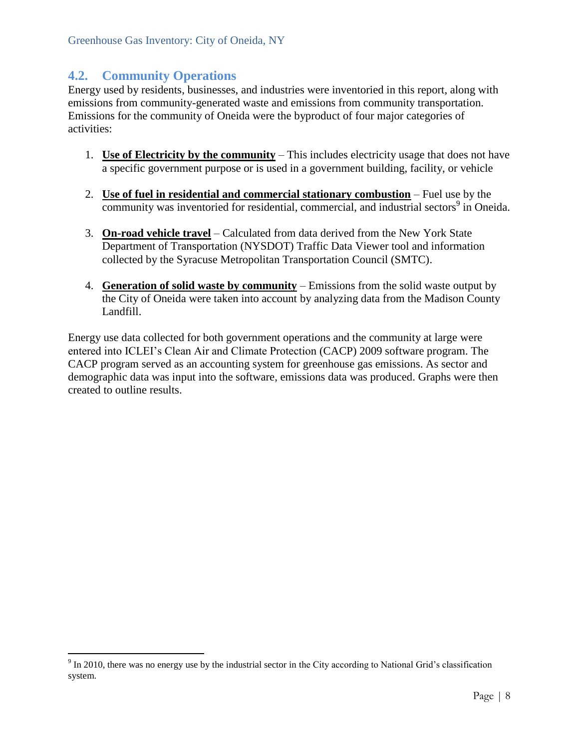### <span id="page-8-0"></span>**4.2. Community Operations**

 $\overline{a}$ 

Energy used by residents, businesses, and industries were inventoried in this report, along with emissions from community-generated waste and emissions from community transportation. Emissions for the community of Oneida were the byproduct of four major categories of activities:

- 1. **Use of Electricity by the community** This includes electricity usage that does not have a specific government purpose or is used in a government building, facility, or vehicle
- 2. **Use of fuel in residential and commercial stationary combustion** Fuel use by the community was inventoried for residential, commercial, and industrial sectors<sup>9</sup> in Oneida.
- 3. **On-road vehicle travel** Calculated from data derived from the New York State Department of Transportation (NYSDOT) Traffic Data Viewer tool and information collected by the Syracuse Metropolitan Transportation Council (SMTC).
- 4. **Generation of solid waste by community** Emissions from the solid waste output by the City of Oneida were taken into account by analyzing data from the Madison County Landfill.

Energy use data collected for both government operations and the community at large were entered into ICLEI's Clean Air and Climate Protection (CACP) 2009 software program. The CACP program served as an accounting system for greenhouse gas emissions. As sector and demographic data was input into the software, emissions data was produced. Graphs were then created to outline results.

 $9 \text{ In } 2010$ , there was no energy use by the industrial sector in the City according to National Grid's classification system.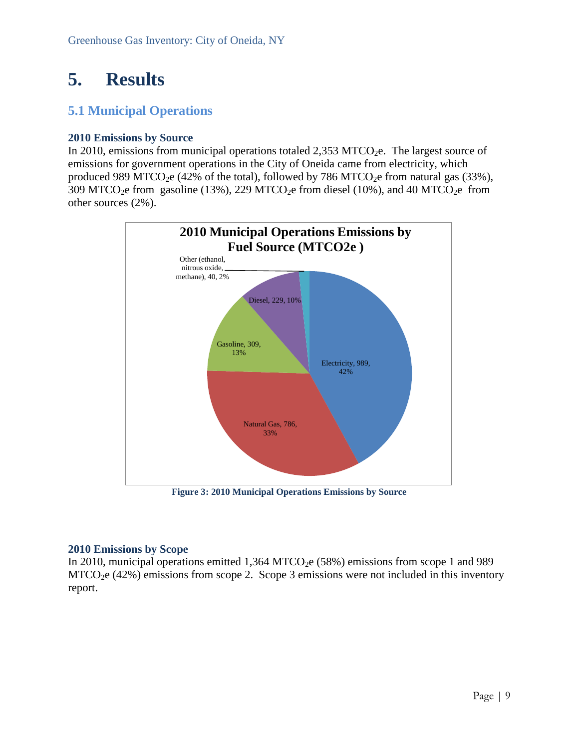## <span id="page-9-0"></span>**5. Results**

### <span id="page-9-1"></span>**5.1 Municipal Operations**

#### <span id="page-9-2"></span>**2010 Emissions by Source**

In 2010, emissions from municipal operations totaled  $2,353$  MTCO<sub>2</sub>e. The largest source of emissions for government operations in the City of Oneida came from electricity, which produced 989 MTCO<sub>2</sub>e (42% of the total), followed by 786 MTCO<sub>2</sub>e from natural gas (33%), 309 MTCO<sub>2</sub>e from gasoline (13%), 229 MTCO<sub>2</sub>e from diesel (10%), and 40 MTCO<sub>2</sub>e from other sources (2%).



**Figure 3: 2010 Municipal Operations Emissions by Source**

#### <span id="page-9-3"></span>**2010 Emissions by Scope**

In 2010, municipal operations emitted  $1,364$  MTCO<sub>2</sub>e (58%) emissions from scope 1 and 989  $MTCO<sub>2</sub>e (42%)$  emissions from scope 2. Scope 3 emissions were not included in this inventory report.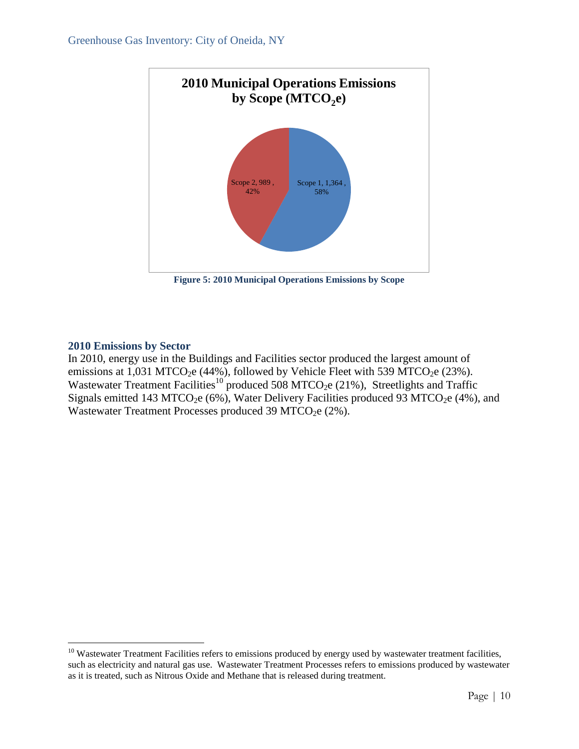

**Figure 5: 2010 Municipal Operations Emissions by Scope**

#### <span id="page-10-0"></span>**2010 Emissions by Sector**

 $\overline{a}$ 

In 2010, energy use in the Buildings and Facilities sector produced the largest amount of emissions at  $1,031$  MTCO<sub>2</sub>e (44%), followed by Vehicle Fleet with 539 MTCO<sub>2</sub>e (23%). Wastewater Treatment Facilities<sup>10</sup> produced 508 MTCO<sub>2</sub>e (21%), Streetlights and Traffic Signals emitted 143 MTCO<sub>2</sub>e (6%), Water Delivery Facilities produced 93 MTCO<sub>2</sub>e (4%), and Wastewater Treatment Processes produced 39 MTCO<sub>2</sub>e (2%).

 $10$  Wastewater Treatment Facilities refers to emissions produced by energy used by wastewater treatment facilities, such as electricity and natural gas use. Wastewater Treatment Processes refers to emissions produced by wastewater as it is treated, such as Nitrous Oxide and Methane that is released during treatment.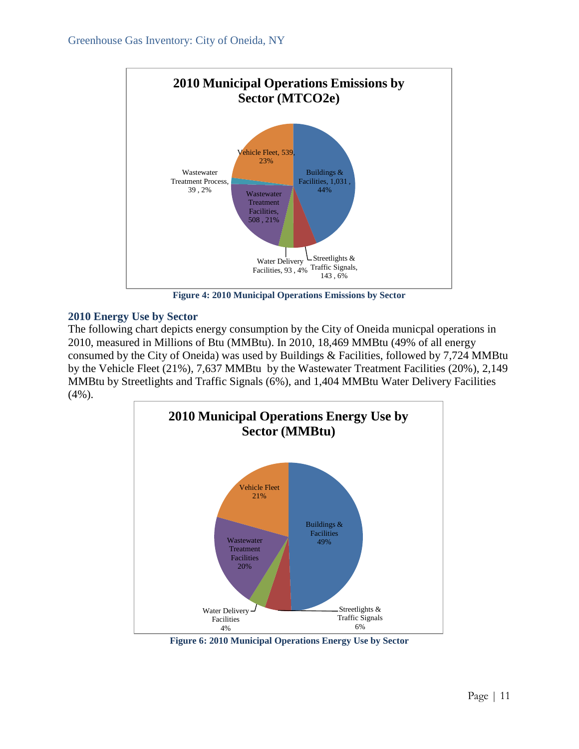

**Figure 4: 2010 Municipal Operations Emissions by Sector**

#### <span id="page-11-0"></span>**2010 Energy Use by Sector**

The following chart depicts energy consumption by the City of Oneida municpal operations in 2010, measured in Millions of Btu (MMBtu). In 2010, 18,469 MMBtu (49% of all energy consumed by the City of Oneida) was used by Buildings & Facilities, followed by 7,724 MMBtu by the Vehicle Fleet (21%), 7,637 MMBtu by the Wastewater Treatment Facilities (20%), 2,149 MMBtu by Streetlights and Traffic Signals (6%), and 1,404 MMBtu Water Delivery Facilities (4%).



**Figure 6: 2010 Municipal Operations Energy Use by Sector**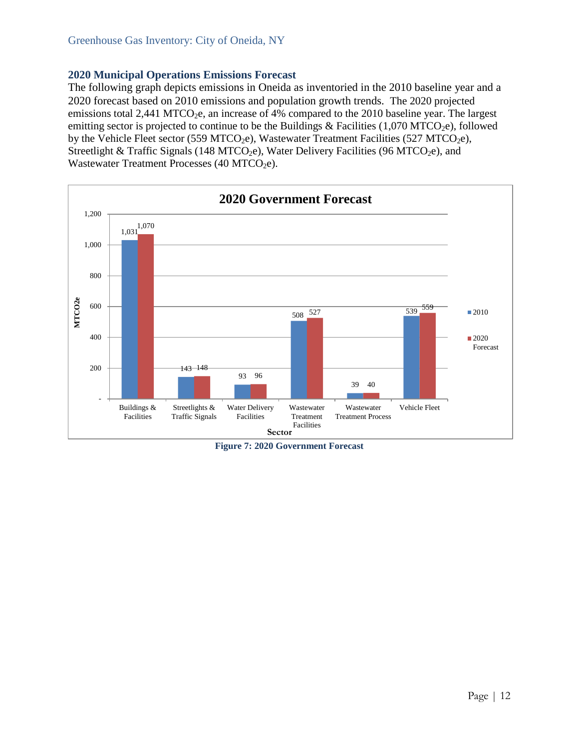#### <span id="page-12-0"></span>**2020 Municipal Operations Emissions Forecast**

The following graph depicts emissions in Oneida as inventoried in the 2010 baseline year and a 2020 forecast based on 2010 emissions and population growth trends. The 2020 projected emissions total 2,441 MTCO<sub>2</sub>e, an increase of 4% compared to the 2010 baseline year. The largest emitting sector is projected to continue to be the Buildings & Facilities (1,070 MTCO<sub>2</sub>e), followed by the Vehicle Fleet sector (559 MTCO<sub>2</sub>e), Wastewater Treatment Facilities (527 MTCO<sub>2</sub>e), Streetlight & Traffic Signals (148 MTCO<sub>2</sub>e), Water Delivery Facilities (96 MTCO<sub>2</sub>e), and Wastewater Treatment Processes (40 MTCO<sub>2</sub>e).



**Figure 7: 2020 Government Forecast**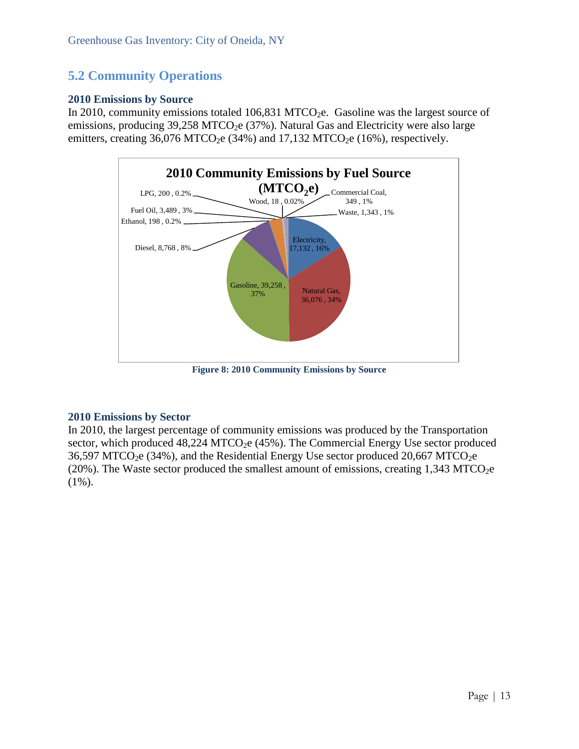### <span id="page-13-0"></span>**5.2 Community Operations**

#### <span id="page-13-1"></span>**2010 Emissions by Source**

In 2010, community emissions totaled  $106,831$  MTCO<sub>2</sub>e. Gasoline was the largest source of emissions, producing  $39,258$  MTCO<sub>2</sub>e ( $37\%$ ). Natural Gas and Electricity were also large emitters, creating  $36,076$  MTCO<sub>2</sub>e (34%) and  $17,132$  MTCO<sub>2</sub>e (16%), respectively.



**Figure 8: 2010 Community Emissions by Source**

#### <span id="page-13-2"></span>**2010 Emissions by Sector**

In 2010, the largest percentage of community emissions was produced by the Transportation sector, which produced  $48,224$  MTCO<sub>2</sub>e ( $45\%$ ). The Commercial Energy Use sector produced  $36,597$  MTCO<sub>2</sub>e  $(34%)$ , and the Residential Energy Use sector produced 20,667 MTCO<sub>2</sub>e (20%). The Waste sector produced the smallest amount of emissions, creating  $1,343$  MTCO<sub>2</sub>e  $(1\%)$ .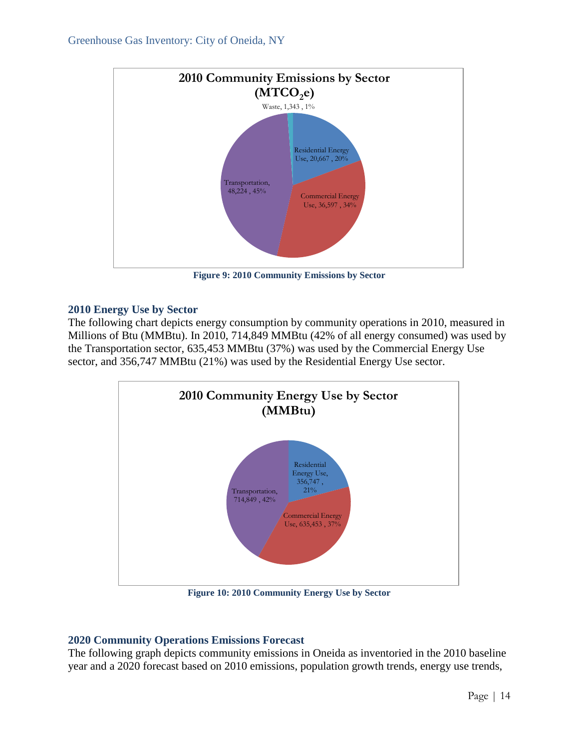

**Figure 9: 2010 Community Emissions by Sector**

#### <span id="page-14-0"></span>**2010 Energy Use by Sector**

The following chart depicts energy consumption by community operations in 2010, measured in Millions of Btu (MMBtu). In 2010, 714,849 MMBtu (42% of all energy consumed) was used by the Transportation sector, 635,453 MMBtu (37%) was used by the Commercial Energy Use sector, and 356,747 MMBtu (21%) was used by the Residential Energy Use sector.



**Figure 10: 2010 Community Energy Use by Sector**

### <span id="page-14-1"></span>**2020 Community Operations Emissions Forecast**

The following graph depicts community emissions in Oneida as inventoried in the 2010 baseline year and a 2020 forecast based on 2010 emissions, population growth trends, energy use trends,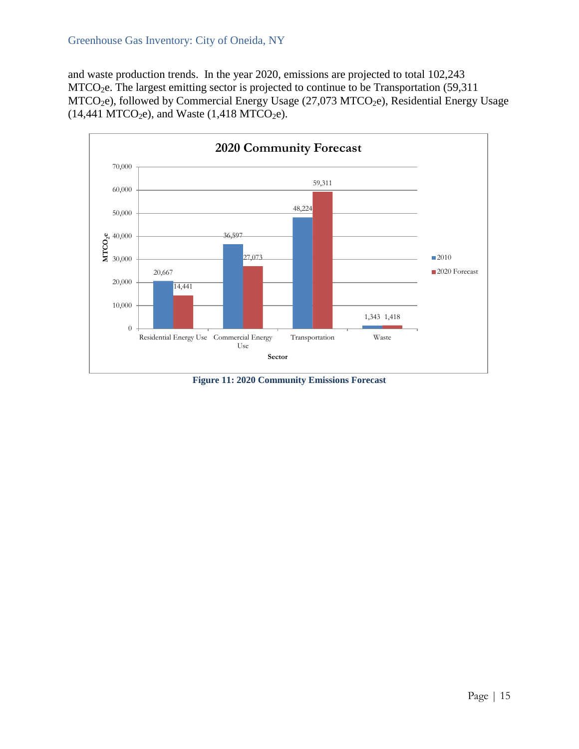and waste production trends. In the year 2020, emissions are projected to total 102,243 MTCO<sub>2</sub>e. The largest emitting sector is projected to continue to be Transportation (59,311)  $MTCO<sub>2</sub>e$ ), followed by Commercial Energy Usage (27,073 MTCO<sub>2</sub>e), Residential Energy Usage  $(14,441$  MTCO<sub>2</sub>e), and Waste  $(1,418$  MTCO<sub>2</sub>e).



**Figure 11: 2020 Community Emissions Forecast**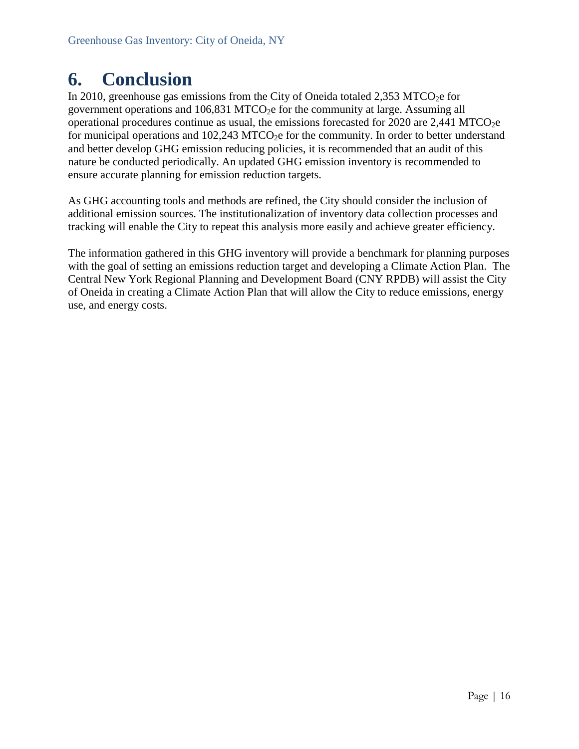## <span id="page-16-0"></span>**6. Conclusion**

In 2010, greenhouse gas emissions from the City of Oneida totaled  $2,353$  MTCO<sub>2</sub>e for government operations and  $106,831$  MTCO<sub>2</sub>e for the community at large. Assuming all operational procedures continue as usual, the emissions forecasted for 2020 are  $2,441$  MTCO<sub>2</sub>e for municipal operations and  $102,243$  MTCO<sub>2</sub>e for the community. In order to better understand and better develop GHG emission reducing policies, it is recommended that an audit of this nature be conducted periodically. An updated GHG emission inventory is recommended to ensure accurate planning for emission reduction targets.

As GHG accounting tools and methods are refined, the City should consider the inclusion of additional emission sources. The institutionalization of inventory data collection processes and tracking will enable the City to repeat this analysis more easily and achieve greater efficiency.

The information gathered in this GHG inventory will provide a benchmark for planning purposes with the goal of setting an emissions reduction target and developing a Climate Action Plan. The Central New York Regional Planning and Development Board (CNY RPDB) will assist the City of Oneida in creating a Climate Action Plan that will allow the City to reduce emissions, energy use, and energy costs.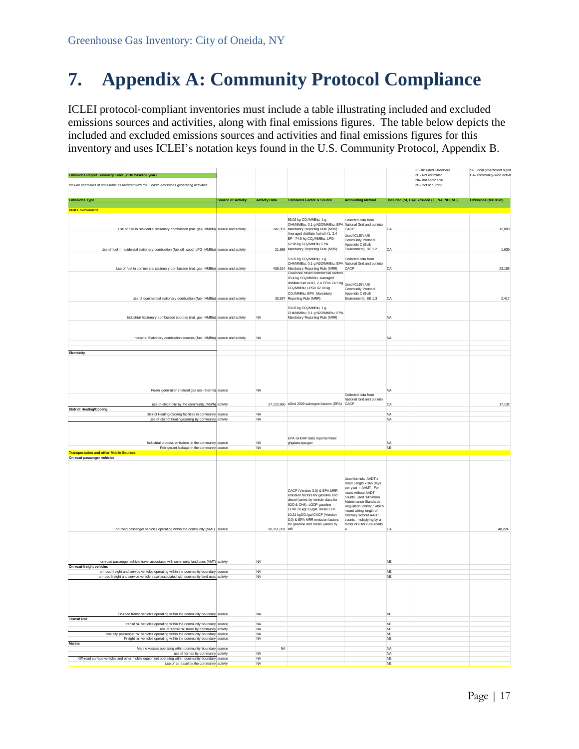## <span id="page-17-0"></span>**7. Appendix A: Community Protocol Compliance**

ICLEI protocol‐compliant inventories must include a table illustrating included and excluded emissions sources and activities, along with final emissions figures. The table below depicts the included and excluded emissions sources and activities and final emissions figures for this inventory and uses ICLEI's notation keys found in the U.S. Community Protocol, Appendix B.

|                                                                                                                                                                                                                |                           |                                     |                                                                                                      |                                                          |                                       | IE- Included Elsewhere                      | SI- Local government signif |
|----------------------------------------------------------------------------------------------------------------------------------------------------------------------------------------------------------------|---------------------------|-------------------------------------|------------------------------------------------------------------------------------------------------|----------------------------------------------------------|---------------------------------------|---------------------------------------------|-----------------------------|
| Emissions Report Summary Table (2010 baseline year)                                                                                                                                                            |                           |                                     |                                                                                                      |                                                          |                                       | NE- Not estimated<br>NA- not applicable     | CA- community-wide activit  |
| Include estimates of emissions associated with the 5 basic emissions generating activities                                                                                                                     |                           |                                     |                                                                                                      |                                                          |                                       | NO- not occurring                           |                             |
|                                                                                                                                                                                                                |                           |                                     |                                                                                                      |                                                          |                                       |                                             |                             |
| <b>Emissions Type</b>                                                                                                                                                                                          | <b>Source or Activity</b> | <b>Activity Data</b>                | <b>Emissions Factor &amp; Source</b>                                                                 | <b>Accounting Method</b>                                 |                                       | Included (SI, CA) Excluded (IE, NA, NO, NE) | Emissions (MTCO2e)          |
| <b>Built Environment</b>                                                                                                                                                                                       |                           |                                     |                                                                                                      |                                                          |                                       |                                             |                             |
|                                                                                                                                                                                                                |                           |                                     | 53.02 kg CO2/MMBtu; 1 g                                                                              | Collected data from                                      |                                       |                                             |                             |
| Use of fuel in residential stationary combustion (nat. gas- MMBtu) source and activity                                                                                                                         |                           |                                     | CH4/MMBtu; 0.1 g N2O/MMBtu; EPA National Grid and put into<br>242,353 Mandatory Reporting Rule (MRR) | CACP                                                     | CA                                    |                                             | 12,883                      |
|                                                                                                                                                                                                                |                           |                                     | Averaged distillate fuel oil #1, 2,4<br>EF= 74.5 kg CO2/MMBtu; LPG=                                  | Used ICLEI's US                                          |                                       |                                             |                             |
|                                                                                                                                                                                                                |                           |                                     | 62.98 kg CO2/MMBtu; EPA                                                                              | Community Protocol<br>Appendix C (Built                  |                                       |                                             |                             |
| Use of fuel in residential stationary combustion (fuel oil, wood, LPG- MMBtu) source and activity                                                                                                              |                           |                                     | 21,989 Mandatory Reporting Rule (MRR)                                                                | Environment), BE 1.2                                     | CA                                    |                                             | 1.639                       |
|                                                                                                                                                                                                                |                           |                                     | 53.02 kg CO2/MMBtu; 1 g<br>CH4/MMBtu; 0.1 g N2O/MMBtu; EPA National Grid and put into                | Collected data from                                      |                                       |                                             |                             |
| Use of fuel in commercial stationary combustion (nat. gas- MMBtu) source and activity                                                                                                                          |                           |                                     | 436,314 Mandatory Reporting Rule (MRR)                                                               | CACP                                                     | CA                                    |                                             | 23,193                      |
|                                                                                                                                                                                                                |                           |                                     | Coal/coke mixed commercial sector=<br>93.4 kg CO2/MMBtu; Averaged                                    |                                                          |                                       |                                             |                             |
|                                                                                                                                                                                                                |                           |                                     | distillate fuel oil #1, 2,4 EFs= 74.5 kg Used ICLEI's US<br>CO <sub>2</sub> /MMBtu; LPG= 62.98 kg    |                                                          |                                       |                                             |                             |
|                                                                                                                                                                                                                |                           |                                     | CO <sub>2</sub> /MMBtu; EPA Mandatory                                                                | Community Protocol<br>Appendix C (Built                  |                                       |                                             |                             |
| Use of commercial stationary combustion (fuel- MMBtu) source and activity                                                                                                                                      |                           |                                     | 33,937 Reporting Rule (MRR)                                                                          | Environment), BE 1.3                                     | CA                                    |                                             | 2,417                       |
|                                                                                                                                                                                                                |                           |                                     | 53.02 kg CO2/MMBtu; 1 g                                                                              |                                                          |                                       |                                             |                             |
| Industrial Stationary combustion sources (nat. gas- MMBtu) source and activity                                                                                                                                 |                           | <b>NA</b>                           | CH4/MMBtu; 0.1 g N2O/MMBtu; EPA<br>Mandatory Reporting Rule (MRR)                                    |                                                          | <b>NA</b>                             |                                             |                             |
|                                                                                                                                                                                                                |                           |                                     |                                                                                                      |                                                          |                                       |                                             |                             |
|                                                                                                                                                                                                                |                           |                                     |                                                                                                      |                                                          |                                       |                                             |                             |
| Industrial Stationary combustion sources (fuel- MMBtu) source and activity                                                                                                                                     |                           | <b>NA</b>                           |                                                                                                      |                                                          | NA                                    |                                             |                             |
| Electricity                                                                                                                                                                                                    |                           |                                     |                                                                                                      |                                                          |                                       |                                             |                             |
|                                                                                                                                                                                                                |                           |                                     |                                                                                                      |                                                          |                                       |                                             |                             |
|                                                                                                                                                                                                                |                           |                                     |                                                                                                      |                                                          |                                       |                                             |                             |
|                                                                                                                                                                                                                |                           |                                     |                                                                                                      |                                                          |                                       |                                             |                             |
|                                                                                                                                                                                                                |                           |                                     |                                                                                                      |                                                          |                                       |                                             |                             |
| Power generation (natural gas use- therms) source                                                                                                                                                              |                           | <b>NA</b>                           |                                                                                                      |                                                          | <b>NA</b>                             |                                             |                             |
|                                                                                                                                                                                                                |                           |                                     |                                                                                                      | Collected data from<br>National Grid and put into        |                                       |                                             |                             |
| use of electricity by the community (MWh)                                                                                                                                                                      | activity                  |                                     | 27,122,960 eGrid 2009 subregion factors (EPA) CACP                                                   |                                                          | CA                                    |                                             | 17,132                      |
| <b>District Heating/Cooling</b><br>District Heating/Cooling facilities in community source                                                                                                                     |                           | <b>NA</b>                           |                                                                                                      |                                                          | <b>NA</b>                             |                                             |                             |
| Use of district heating/cooling by community activity                                                                                                                                                          |                           | <b>NA</b>                           |                                                                                                      |                                                          | <b>NA</b>                             |                                             |                             |
|                                                                                                                                                                                                                |                           |                                     |                                                                                                      |                                                          |                                       |                                             |                             |
|                                                                                                                                                                                                                |                           |                                     | EPA GHGRP data reported here:                                                                        |                                                          |                                       |                                             |                             |
| Industrial process emissions in the community source<br>Refrigerant leakage in the community source                                                                                                            |                           | <b>NA</b><br><b>NA</b>              | ghgdata.epa.gov                                                                                      |                                                          | <b>NA</b><br>NE                       |                                             |                             |
| <b>Transportation and other Mobile Sources</b>                                                                                                                                                                 |                           |                                     |                                                                                                      |                                                          |                                       |                                             |                             |
| On-road passenger vehicles                                                                                                                                                                                     |                           |                                     |                                                                                                      |                                                          |                                       |                                             |                             |
|                                                                                                                                                                                                                |                           |                                     |                                                                                                      |                                                          |                                       |                                             |                             |
|                                                                                                                                                                                                                |                           |                                     |                                                                                                      | Used formula: AADT x                                     |                                       |                                             |                             |
|                                                                                                                                                                                                                |                           |                                     |                                                                                                      | Road Length x 365 days                                   |                                       |                                             |                             |
|                                                                                                                                                                                                                |                           |                                     | CACP (Version 3.0) & EPA MRR<br>emission factors for gasoline and                                    | per year = AVMT. For<br>roads without AADT               |                                       |                                             |                             |
|                                                                                                                                                                                                                |                           |                                     | diesel (varies by vehicle class for                                                                  | counts, used "Minimum<br>Maintenance Standards           |                                       |                                             |                             |
|                                                                                                                                                                                                                |                           |                                     | N2O & CH4): LGOP gasoline<br>EF=8.78 kgCO2/gal; diesel EF=                                           | Regulation 239/02," which                                |                                       |                                             |                             |
|                                                                                                                                                                                                                |                           |                                     |                                                                                                      |                                                          |                                       |                                             |                             |
|                                                                                                                                                                                                                |                           |                                     | 10.21 kgCO2/gal CACP (Version                                                                        | meant taking length of<br>roadway without AADT           |                                       |                                             |                             |
|                                                                                                                                                                                                                |                           |                                     | 3.0) & EPA MRR emission factors<br>for gasoline and diesel (varies by                                | counts, multiplying by a<br>factor of 6 for rural roads, |                                       |                                             |                             |
| on-road passenger vehicles operating within the community (VMT) source                                                                                                                                         |                           | 90,351,032 veh                      |                                                                                                      |                                                          | CA                                    |                                             | 48,224                      |
|                                                                                                                                                                                                                |                           |                                     |                                                                                                      |                                                          |                                       |                                             |                             |
|                                                                                                                                                                                                                |                           |                                     |                                                                                                      |                                                          |                                       |                                             |                             |
|                                                                                                                                                                                                                |                           |                                     |                                                                                                      |                                                          |                                       |                                             |                             |
| on-road passenger vehicle travel associated with community land uses (VMT) activity                                                                                                                            |                           | <b>NA</b>                           |                                                                                                      |                                                          | <b>NE</b>                             |                                             |                             |
| on-road freight and service vehicles operating within the community boundary                                                                                                                                   | source                    | <b>NA</b>                           |                                                                                                      |                                                          | <b>NE</b>                             |                                             |                             |
| on-road freight and service vehicle travel associated with community land uses activity                                                                                                                        |                           | <b>NA</b>                           |                                                                                                      |                                                          | <b>NE</b>                             |                                             |                             |
|                                                                                                                                                                                                                |                           |                                     |                                                                                                      |                                                          |                                       |                                             |                             |
|                                                                                                                                                                                                                |                           |                                     |                                                                                                      |                                                          |                                       |                                             |                             |
|                                                                                                                                                                                                                |                           |                                     |                                                                                                      |                                                          |                                       |                                             |                             |
| On-road transit vehicles operating within the community boundary source                                                                                                                                        |                           | <b>NA</b>                           |                                                                                                      |                                                          | $_{\rm NE}$                           |                                             |                             |
|                                                                                                                                                                                                                |                           | <b>NA</b>                           |                                                                                                      |                                                          | NF                                    |                                             |                             |
| transit rail vehicles operating within the community boundary source<br>use of transit rail travel by community activity                                                                                       |                           | <b>NA</b>                           |                                                                                                      |                                                          | $_{\rm NE}$                           |                                             |                             |
| On-road freight vehicles<br><b>Transit Rail</b><br>Inter-city passenger rail vehicles operating within the community boundary                                                                                  | source                    | <b>NA</b><br><b>NA</b>              |                                                                                                      |                                                          | <b>NE</b><br>$_{\rm NE}$              |                                             |                             |
| Freight rail vehicles operating within the community boundary source                                                                                                                                           |                           |                                     |                                                                                                      |                                                          |                                       |                                             |                             |
| Marine<br>Marine vessels operating within community boundary source<br>use of ferries by community activity<br>Off-road surface vehicles and other mobile equipment operating within community boundary source |                           | <b>NA</b><br><b>NA</b><br><b>NA</b> |                                                                                                      |                                                          | <b>NA</b><br><b>NA</b><br>$_{\rm NE}$ |                                             |                             |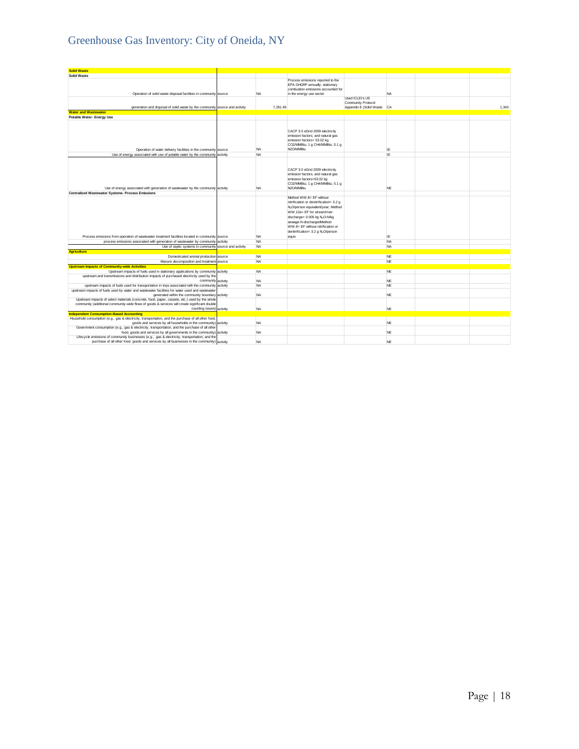## Greenhouse Gas Inventory: City of Oneida, NY

| <b>Solid Waste</b>                                                                                                                                                                                                 |                     |                        |                                                                                                                                                                                                                                                                                                                       |                                                  |                 |       |
|--------------------------------------------------------------------------------------------------------------------------------------------------------------------------------------------------------------------|---------------------|------------------------|-----------------------------------------------------------------------------------------------------------------------------------------------------------------------------------------------------------------------------------------------------------------------------------------------------------------------|--------------------------------------------------|-----------------|-------|
| <b>Solid Waste</b>                                                                                                                                                                                                 |                     |                        |                                                                                                                                                                                                                                                                                                                       |                                                  |                 |       |
| Operation of solid waste disposal facilities in community source                                                                                                                                                   |                     | <b>NA</b>              | Process emissions reported to the<br>EPA GHGRP annually; stationary<br>combustion emissions accounted for<br>in the energy use sector                                                                                                                                                                                 |                                                  | <b>NA</b>       |       |
|                                                                                                                                                                                                                    |                     |                        |                                                                                                                                                                                                                                                                                                                       | Used ICLEI's US                                  |                 |       |
| generation and disposal of solid waste by the community source and activity                                                                                                                                        |                     | 7.291.49               |                                                                                                                                                                                                                                                                                                                       | Community Protocol<br>Appendix E (Solid Waste CA |                 | 1.343 |
| <b>Water and Wastewater</b>                                                                                                                                                                                        |                     |                        |                                                                                                                                                                                                                                                                                                                       |                                                  |                 |       |
| Potable Water- Energy Use                                                                                                                                                                                          |                     |                        |                                                                                                                                                                                                                                                                                                                       |                                                  |                 |       |
| Operation of water delivery facilities in the community source                                                                                                                                                     |                     | <b>NA</b>              | CACP 3.0 eGrid 2009 electricity<br>emission factors; and natural gas<br>emission factors= 53.02 kg<br>CO2/MMBtu; 1 g CH4/MMBtu; 0.1 g<br>N2O/MMBtu                                                                                                                                                                    |                                                  | IE              |       |
| Use of energy associated with use of potable water by the community activity                                                                                                                                       |                     | <b>NA</b>              |                                                                                                                                                                                                                                                                                                                       |                                                  | IE              |       |
| Use of energy associated with generation of wastewater by the community activity                                                                                                                                   |                     | <b>NA</b>              | CACP 3.0 eGrid 2009 electricity<br>emission factors; and natural gas<br>emission factors=53.02 kg<br>CO2/MMBtu; 1 g CH4/MMBtu; 0.1 g<br>N2O/MMBhi                                                                                                                                                                     |                                                  | <b>NE</b>       |       |
| <b>Centralized Wastewater Systems- Process Emissions</b>                                                                                                                                                           |                     |                        |                                                                                                                                                                                                                                                                                                                       |                                                  |                 |       |
|                                                                                                                                                                                                                    |                     |                        | Method WW.8= EF without<br>nitrification or denitrification= 3.2 g<br>N <sub>2</sub> O/person equivalent/year; Method<br>WW.12a= EF for stream/river<br>discharge= 0.005 kg N <sub>2</sub> O-N/kg<br>sewage-N dischargedMethod<br>WW.8= EF without nitrification or<br>denitrification= 3.2 g N <sub>2</sub> O/person |                                                  |                 |       |
| Process emissions from operation of wastewater treatment facilities located in community source<br>process emissions associated with generation of wastewater by community                                         | activity            | <b>NA</b><br><b>NA</b> | equiv                                                                                                                                                                                                                                                                                                                 |                                                  | IE<br><b>NA</b> |       |
| Use of septic systems in community                                                                                                                                                                                 | source and activity | <b>NA</b>              |                                                                                                                                                                                                                                                                                                                       |                                                  | <b>NA</b>       |       |
| <b>Agriculture</b>                                                                                                                                                                                                 |                     |                        |                                                                                                                                                                                                                                                                                                                       |                                                  |                 |       |
| Domesticated animal production source                                                                                                                                                                              |                     | <b>NA</b>              |                                                                                                                                                                                                                                                                                                                       |                                                  | <b>NE</b>       |       |
| Manure decomposition and treatment source                                                                                                                                                                          |                     | <b>NA</b>              |                                                                                                                                                                                                                                                                                                                       |                                                  | <b>NE</b>       |       |
| <b>Upstream Impacts of Community-wide Activities</b>                                                                                                                                                               |                     |                        |                                                                                                                                                                                                                                                                                                                       |                                                  |                 |       |
| Upstream impacts of fuels used in stationary applications by community activity                                                                                                                                    |                     | <b>NA</b>              |                                                                                                                                                                                                                                                                                                                       |                                                  | <b>NE</b>       |       |
| upstream and transmissions and distribution impacts of purchased electricity used by the<br>community                                                                                                              | activity            | <b>NA</b>              |                                                                                                                                                                                                                                                                                                                       |                                                  | <b>NE</b>       |       |
| upstream impacts of fuels used for transportation in trips associated with the community                                                                                                                           | activity            | <b>NA</b>              |                                                                                                                                                                                                                                                                                                                       |                                                  | <b>NF</b>       |       |
| upstream impacts of fuels used by water and wastewater facilities for water used and wastewater<br>generated within the community boundary activity                                                                |                     | <b>NA</b>              |                                                                                                                                                                                                                                                                                                                       |                                                  | <b>NE</b>       |       |
| Upstream impacts of select materials (concrete, food, paper, carpets, etc.) used by the whole<br>community (additional community-wide flows of goods & services will create significant double<br>counting issues) | activity            | <b>NA</b>              |                                                                                                                                                                                                                                                                                                                       |                                                  | NE              |       |
| <b>Independent Consumption-Based Accounting</b>                                                                                                                                                                    |                     |                        |                                                                                                                                                                                                                                                                                                                       |                                                  |                 |       |
| Household consumption (e.g., gas & electricity, transportation, and the purchase of all other food,<br>goods and services by all households in the community) activity                                             |                     | <b>NA</b>              |                                                                                                                                                                                                                                                                                                                       |                                                  | <b>NE</b>       |       |
| Government consumption (e.g., gas & electricity, transportation, and the purchase of all other<br>food, goods and services by all governments in the community) activity                                           |                     | <b>NA</b>              |                                                                                                                                                                                                                                                                                                                       |                                                  | <b>NE</b>       |       |
| Lifecycle emissions of community businesses (e.g., gas & electricity, transportation, and the<br>purchase of all other food, goods and services by all businesses in the community) activity                       |                     | <b>NA</b>              |                                                                                                                                                                                                                                                                                                                       |                                                  | <b>NE</b>       |       |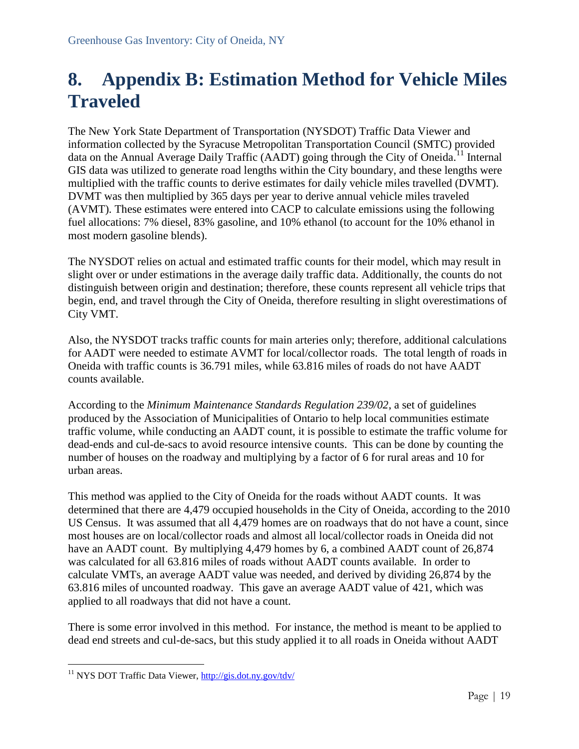## <span id="page-19-0"></span>**8. Appendix B: Estimation Method for Vehicle Miles Traveled**

The New York State Department of Transportation (NYSDOT) Traffic Data Viewer and information collected by the Syracuse Metropolitan Transportation Council (SMTC) provided data on the Annual Average Daily Traffic (AADT) going through the City of Oneida.<sup>11</sup> Internal GIS data was utilized to generate road lengths within the City boundary, and these lengths were multiplied with the traffic counts to derive estimates for daily vehicle miles travelled (DVMT). DVMT was then multiplied by 365 days per year to derive annual vehicle miles traveled (AVMT). These estimates were entered into CACP to calculate emissions using the following fuel allocations: 7% diesel, 83% gasoline, and 10% ethanol (to account for the 10% ethanol in most modern gasoline blends).

The NYSDOT relies on actual and estimated traffic counts for their model, which may result in slight over or under estimations in the average daily traffic data. Additionally, the counts do not distinguish between origin and destination; therefore, these counts represent all vehicle trips that begin, end, and travel through the City of Oneida, therefore resulting in slight overestimations of City VMT.

Also, the NYSDOT tracks traffic counts for main arteries only; therefore, additional calculations for AADT were needed to estimate AVMT for local/collector roads. The total length of roads in Oneida with traffic counts is 36.791 miles, while 63.816 miles of roads do not have AADT counts available.

According to the *Minimum Maintenance Standards Regulation 239/02*, a set of guidelines produced by the Association of Municipalities of Ontario to help local communities estimate traffic volume, while conducting an AADT count, it is possible to estimate the traffic volume for dead-ends and cul-de-sacs to avoid resource intensive counts. This can be done by counting the number of houses on the roadway and multiplying by a factor of 6 for rural areas and 10 for urban areas.

This method was applied to the City of Oneida for the roads without AADT counts. It was determined that there are 4,479 occupied households in the City of Oneida, according to the 2010 US Census. It was assumed that all 4,479 homes are on roadways that do not have a count, since most houses are on local/collector roads and almost all local/collector roads in Oneida did not have an AADT count. By multiplying 4,479 homes by 6, a combined AADT count of 26,874 was calculated for all 63.816 miles of roads without AADT counts available. In order to calculate VMTs, an average AADT value was needed, and derived by dividing 26,874 by the 63.816 miles of uncounted roadway. This gave an average AADT value of 421, which was applied to all roadways that did not have a count.

There is some error involved in this method. For instance, the method is meant to be applied to dead end streets and cul-de-sacs, but this study applied it to all roads in Oneida without AADT

 $\overline{a}$ 

<sup>&</sup>lt;sup>11</sup> NYS DOT Traffic Data Viewer, http://gis.dot.ny.gov/tdv/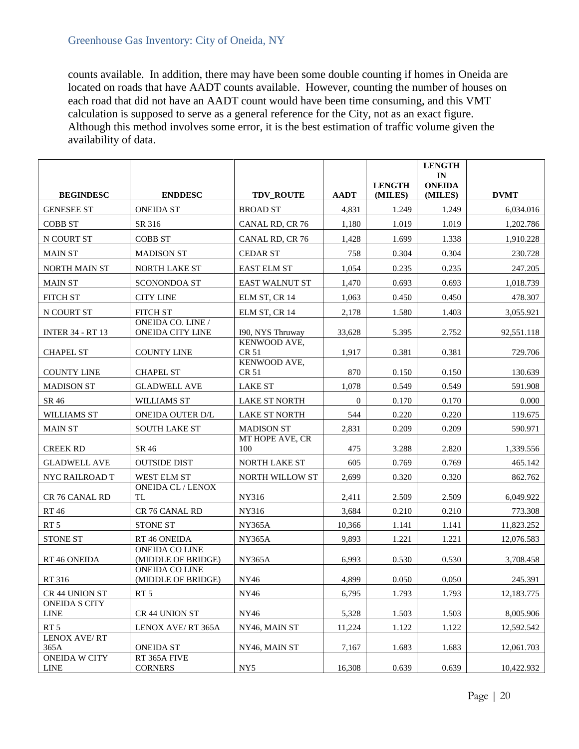counts available. In addition, there may have been some double counting if homes in Oneida are located on roads that have AADT counts available. However, counting the number of houses on each road that did not have an AADT count would have been time consuming, and this VMT calculation is supposed to serve as a general reference for the City, not as an exact figure. Although this method involves some error, it is the best estimation of traffic volume given the availability of data.

|                                     |                                              |                        |                  |                          | <b>LENGTH</b><br>IN      |             |
|-------------------------------------|----------------------------------------------|------------------------|------------------|--------------------------|--------------------------|-------------|
| <b>BEGINDESC</b>                    | <b>ENDDESC</b>                               | <b>TDV_ROUTE</b>       | <b>AADT</b>      | <b>LENGTH</b><br>(MILES) | <b>ONEIDA</b><br>(MILES) | <b>DVMT</b> |
| <b>GENESEE ST</b>                   | <b>ONEIDA ST</b>                             | <b>BROAD ST</b>        | 4.831            | 1.249                    | 1.249                    | 6,034.016   |
| <b>COBB ST</b>                      | SR 316                                       | CANAL RD, CR 76        | 1,180            | 1.019                    | 1.019                    | 1,202.786   |
| N COURT ST                          | <b>COBB ST</b>                               | CANAL RD, CR 76        | 1,428            | 1.699                    | 1.338                    | 1,910.228   |
| <b>MAIN ST</b>                      | <b>MADISON ST</b>                            | <b>CEDAR ST</b>        | 758              | 0.304                    | 0.304                    | 230.728     |
| <b>NORTH MAIN ST</b>                | NORTH LAKE ST                                | <b>EAST ELM ST</b>     | 1,054            | 0.235                    | 0.235                    | 247.205     |
| <b>MAIN ST</b>                      | <b>SCONONDOA ST</b>                          | <b>EAST WALNUT ST</b>  | 1,470            | 0.693                    | 0.693                    | 1,018.739   |
| <b>FITCH ST</b>                     | <b>CITY LINE</b>                             | ELM ST, CR 14          | 1.063            | 0.450                    | 0.450                    | 478.307     |
| N COURT ST                          | <b>FITCH ST</b>                              | ELM ST, CR 14          | 2,178            | 1.580                    | 1.403                    | 3,055.921   |
| <b>INTER 34 - RT 13</b>             | <b>ONEIDA CO. LINE</b> /<br>ONEIDA CITY LINE | 190, NYS Thruway       | 33,628           | 5.395                    | 2.752                    | 92,551.118  |
| <b>CHAPEL ST</b>                    | <b>COUNTY LINE</b>                           | KENWOOD AVE,<br>CR 51  | 1,917            | 0.381                    | 0.381                    | 729.706     |
| <b>COUNTY LINE</b>                  | <b>CHAPEL ST</b>                             | KENWOOD AVE,<br>CR 51  | 870              | 0.150                    | 0.150                    | 130.639     |
| <b>MADISON ST</b>                   | <b>GLADWELL AVE</b>                          | <b>LAKE ST</b>         | 1,078            | 0.549                    | 0.549                    | 591.908     |
| SR 46                               | WILLIAMS ST                                  | <b>LAKE ST NORTH</b>   | $\boldsymbol{0}$ | 0.170                    | 0.170                    | 0.000       |
| <b>WILLIAMS ST</b>                  | <b>ONEIDA OUTER D/L</b>                      | <b>LAKE ST NORTH</b>   | 544              | 0.220                    | 0.220                    | 119.675     |
| <b>MAIN ST</b>                      | <b>SOUTH LAKE ST</b>                         | <b>MADISON ST</b>      | 2,831            | 0.209                    | 0.209                    | 590.971     |
| <b>CREEK RD</b>                     | SR 46                                        | MT HOPE AVE, CR<br>100 | 475              | 3.288                    | 2.820                    | 1,339.556   |
| <b>GLADWELL AVE</b>                 | <b>OUTSIDE DIST</b>                          | NORTH LAKE ST          | 605              | 0.769                    | 0.769                    | 465.142     |
| NYC RAILROAD T                      | WEST ELM ST                                  | NORTH WILLOW ST        | 2,699            | 0.320                    | 0.320                    | 862.762     |
| CR 76 CANAL RD                      | <b>ONEIDA CL / LENOX</b><br>TL               | NY316                  | 2,411            | 2.509                    | 2.509                    | 6,049.922   |
| <b>RT46</b>                         | CR 76 CANAL RD                               | NY316                  | 3,684            | 0.210                    | 0.210                    | 773.308     |
| RT <sub>5</sub>                     | <b>STONE ST</b>                              | <b>NY365A</b>          | 10,366           | 1.141                    | 1.141                    | 11,823.252  |
| <b>STONE ST</b>                     | RT 46 ONEIDA                                 | <b>NY365A</b>          | 9,893            | 1.221                    | 1.221                    | 12,076.583  |
| RT 46 ONEIDA                        | <b>ONEIDA CO LINE</b><br>(MIDDLE OF BRIDGE)  | <b>NY365A</b>          | 6,993            | 0.530                    | 0.530                    | 3,708.458   |
| RT 316                              | <b>ONEIDA CO LINE</b><br>(MIDDLE OF BRIDGE)  | NY46                   | 4,899            | 0.050                    | 0.050                    | 245.391     |
| CR 44 UNION ST                      | RT <sub>5</sub>                              | NY46                   | 6,795            | 1.793                    | 1.793                    | 12,183.775  |
| <b>ONEIDA S CITY</b><br><b>LINE</b> | CR 44 UNION ST                               | NY46                   | 5,328            | 1.503                    | 1.503                    | 8,005.906   |
| RT <sub>5</sub>                     | LENOX AVE/RT 365A                            | NY46, MAIN ST          | 11,224           | 1.122                    | 1.122                    | 12,592.542  |
| <b>LENOX AVE/RT</b><br>365A         | <b>ONEIDA ST</b>                             | NY46, MAIN ST          | 7,167            | 1.683                    | 1.683                    | 12,061.703  |
| <b>ONEIDA W CITY</b><br><b>LINE</b> | RT 365A FIVE<br><b>CORNERS</b>               | NY5                    | 16,308           | 0.639                    | 0.639                    | 10,422.932  |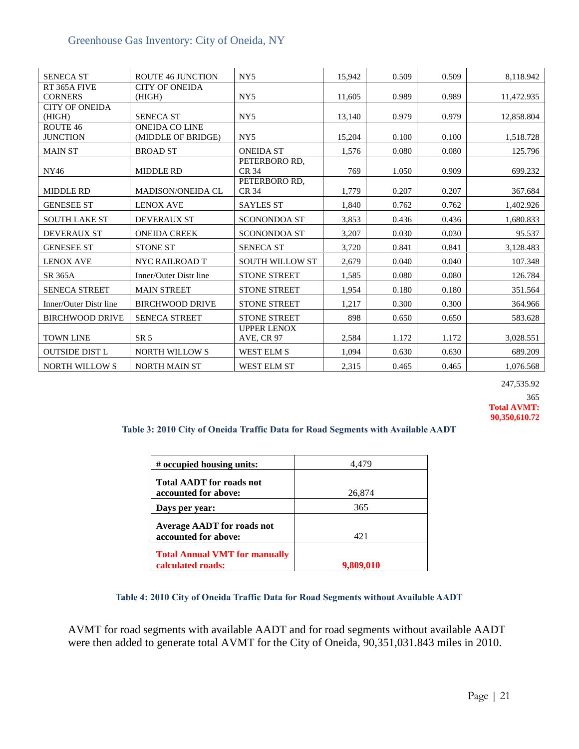| <b>SENECA ST</b>       | <b>ROUTE 46 JUNCTION</b> | NY <sub>5</sub>        | 15,942 | 0.509 | 0.509 | 8,118.942  |
|------------------------|--------------------------|------------------------|--------|-------|-------|------------|
| RT 365A FIVE           | <b>CITY OF ONEIDA</b>    |                        |        |       |       |            |
| <b>CORNERS</b>         | (HIGH)                   | NY <sub>5</sub>        | 11,605 | 0.989 | 0.989 | 11,472.935 |
| <b>CITY OF ONEIDA</b>  |                          |                        |        |       |       |            |
| (HIGH)                 | <b>SENECA ST</b>         | NY <sub>5</sub>        | 13,140 | 0.979 | 0.979 | 12,858.804 |
| ROUTE 46               | <b>ONEIDA CO LINE</b>    |                        |        |       |       |            |
| <b>JUNCTION</b>        | (MIDDLE OF BRIDGE)       | NY <sub>5</sub>        | 15,204 | 0.100 | 0.100 | 1,518.728  |
| <b>MAIN ST</b>         | <b>BROAD ST</b>          | <b>ONEIDA ST</b>       | 1,576  | 0.080 | 0.080 | 125.796    |
|                        |                          | PETERBORO RD,          |        |       |       |            |
| NY46                   | <b>MIDDLE RD</b>         | CR 34                  | 769    | 1.050 | 0.909 | 699.232    |
|                        |                          | PETERBORO RD,          |        |       |       |            |
| <b>MIDDLE RD</b>       | MADISON/ONEIDA CL        | CR 34                  | 1,779  | 0.207 | 0.207 | 367.684    |
| <b>GENESEE ST</b>      | <b>LENOX AVE</b>         | <b>SAYLES ST</b>       | 1,840  | 0.762 | 0.762 | 1,402.926  |
| <b>SOUTH LAKE ST</b>   | <b>DEVERAUX ST</b>       | <b>SCONONDOA ST</b>    | 3,853  | 0.436 | 0.436 | 1,680.833  |
| <b>DEVERAUX ST</b>     | <b>ONEIDA CREEK</b>      | <b>SCONONDOA ST</b>    | 3,207  | 0.030 | 0.030 | 95.537     |
| <b>GENESEE ST</b>      | <b>STONE ST</b>          | <b>SENECA ST</b>       | 3,720  | 0.841 | 0.841 | 3,128.483  |
| <b>LENOX AVE</b>       | NYC RAILROAD T           | <b>SOUTH WILLOW ST</b> | 2,679  | 0.040 | 0.040 | 107.348    |
| SR 365A                | Inner/Outer Distr line   | <b>STONE STREET</b>    | 1,585  | 0.080 | 0.080 | 126.784    |
| <b>SENECA STREET</b>   | <b>MAIN STREET</b>       | <b>STONE STREET</b>    | 1,954  | 0.180 | 0.180 | 351.564    |
| Inner/Outer Distr line | <b>BIRCHWOOD DRIVE</b>   | <b>STONE STREET</b>    | 1,217  | 0.300 | 0.300 | 364.966    |
| <b>BIRCHWOOD DRIVE</b> | <b>SENECA STREET</b>     | <b>STONE STREET</b>    | 898    | 0.650 | 0.650 | 583.628    |
|                        |                          | <b>UPPER LENOX</b>     |        |       |       |            |
| <b>TOWN LINE</b>       | SR <sub>5</sub>          | <b>AVE, CR 97</b>      | 2,584  | 1.172 | 1.172 | 3,028.551  |
| <b>OUTSIDE DIST L</b>  | <b>NORTH WILLOWS</b>     | <b>WEST ELM S</b>      | 1,094  | 0.630 | 0.630 | 689.209    |
| <b>NORTH WILLOWS</b>   | <b>NORTH MAIN ST</b>     | <b>WEST ELM ST</b>     | 2,315  | 0.465 | 0.465 | 1,076.568  |

247,535.92 365

**Total AVMT: 90,350,610.72**

#### **Table 3: 2010 City of Oneida Traffic Data for Road Segments with Available AADT**

| # occupied housing units:                                 | 4,479     |
|-----------------------------------------------------------|-----------|
| <b>Total AADT</b> for roads not                           |           |
| accounted for above:                                      | 26,874    |
| Days per year:                                            | 365       |
| <b>Average AADT for roads not</b>                         |           |
| accounted for above:                                      | 421       |
| <b>Total Annual VMT for manually</b><br>calculated roads: | 9,809,010 |

#### **Table 4: 2010 City of Oneida Traffic Data for Road Segments without Available AADT**

AVMT for road segments with available AADT and for road segments without available AADT were then added to generate total AVMT for the City of Oneida, 90,351,031.843 miles in 2010.